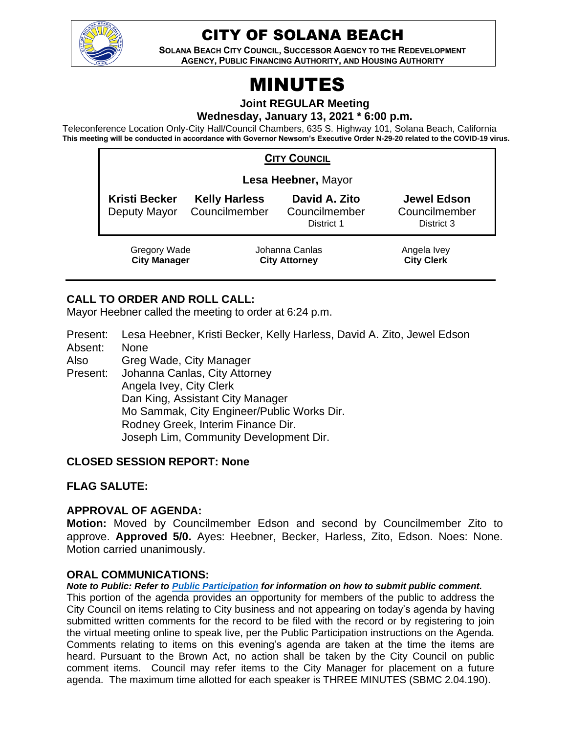

# CITY OF SOLANA BEACH

**SOLANA BEACH CITY COUNCIL, SUCCESSOR AGENCY TO THE REDEVELOPMENT AGENCY, PUBLIC FINANCING AUTHORITY, AND HOUSING AUTHORITY** 

# MINUTES

**Joint REGULAR Meeting**

**Wednesday, January 13, 2021 \* 6:00 p.m.** 

Teleconference Location Only-City Hall/Council Chambers, 635 S. Highway 101, Solana Beach, California **This meeting will be conducted in accordance with Governor Newsom's Executive Order N-29-20 related to the COVID-19 virus.**

| <b>CITY COUNCIL</b>                        |                                       |                                              |                                                   |  |  |  |
|--------------------------------------------|---------------------------------------|----------------------------------------------|---------------------------------------------------|--|--|--|
| Lesa Heebner, Mayor                        |                                       |                                              |                                                   |  |  |  |
| <b>Kristi Becker</b><br>Deputy Mayor       | <b>Kelly Harless</b><br>Councilmember | David A. Zito<br>Councilmember<br>District 1 | <b>Jewel Edson</b><br>Councilmember<br>District 3 |  |  |  |
| <b>Gregory Wade</b><br><b>City Manager</b> |                                       | Johanna Canlas<br><b>City Attorney</b>       | Angela Ivey<br><b>City Clerk</b>                  |  |  |  |

# **CALL TO ORDER AND ROLL CALL:**

Mayor Heebner called the meeting to order at 6:24 p.m.

Present: Lesa Heebner, Kristi Becker, Kelly Harless, David A. Zito, Jewel Edson Absent: None

Also Greg Wade, City Manager

Present: Johanna Canlas, City Attorney Angela Ivey, City Clerk Dan King, Assistant City Manager Mo Sammak, City Engineer/Public Works Dir. Rodney Greek, Interim Finance Dir. Joseph Lim, Community Development Dir.

#### **CLOSED SESSION REPORT: None**

# **FLAG SALUTE:**

# **APPROVAL OF AGENDA:**

**Motion:** Moved by Councilmember Edson and second by Councilmember Zito to approve. **Approved 5/0.** Ayes: Heebner, Becker, Harless, Zito, Edson. Noes: None. Motion carried unanimously.

#### **ORAL COMMUNICATIONS:**

#### *Note to Public: Refer to Public Participation for information on how to submit public comment.*

This portion of the agenda provides an opportunity for members of the public to address the City Council on items relating to City business and not appearing on today's agenda by having submitted written comments for the record to be filed with the record or by registering to join the virtual meeting online to speak live, per the Public Participation instructions on the Agenda. Comments relating to items on this evening's agenda are taken at the time the items are heard. Pursuant to the Brown Act, no action shall be taken by the City Council on public comment items. Council may refer items to the City Manager for placement on a future agenda. The maximum time allotted for each speaker is THREE MINUTES (SBMC 2.04.190).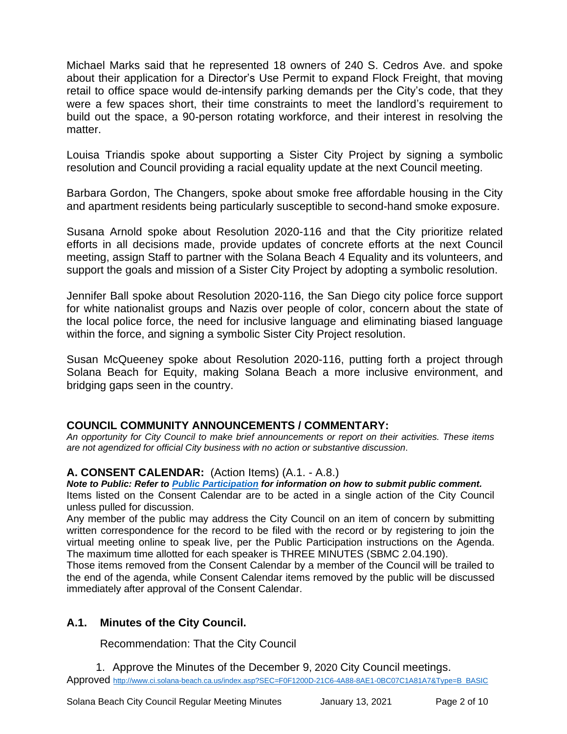Michael Marks said that he represented 18 owners of 240 S. Cedros Ave. and spoke about their application for a Director's Use Permit to expand Flock Freight, that moving retail to office space would de-intensify parking demands per the City's code, that they were a few spaces short, their time constraints to meet the landlord's requirement to build out the space, a 90-person rotating workforce, and their interest in resolving the matter.

Louisa Triandis spoke about supporting a Sister City Project by signing a symbolic resolution and Council providing a racial equality update at the next Council meeting.

Barbara Gordon, The Changers, spoke about smoke free affordable housing in the City and apartment residents being particularly susceptible to second-hand smoke exposure.

Susana Arnold spoke about Resolution 2020-116 and that the City prioritize related efforts in all decisions made, provide updates of concrete efforts at the next Council meeting, assign Staff to partner with the Solana Beach 4 Equality and its volunteers, and support the goals and mission of a Sister City Project by adopting a symbolic resolution.

Jennifer Ball spoke about Resolution 2020-116, the San Diego city police force support for white nationalist groups and Nazis over people of color, concern about the state of the local police force, the need for inclusive language and eliminating biased language within the force, and signing a symbolic Sister City Project resolution.

Susan McQueeney spoke about Resolution 2020-116, putting forth a project through Solana Beach for Equity, making Solana Beach a more inclusive environment, and bridging gaps seen in the country.

#### **COUNCIL COMMUNITY ANNOUNCEMENTS / COMMENTARY:**

*An opportunity for City Council to make brief announcements or report on their activities. These items are not agendized for official City business with no action or substantive discussion.* 

# **A. CONSENT CALENDAR:** (Action Items) (A.1. - A.8.)

*Note to Public: Refer to Public Participation for information on how to submit public comment.*  Items listed on the Consent Calendar are to be acted in a single action of the City Council unless pulled for discussion.

Any member of the public may address the City Council on an item of concern by submitting written correspondence for the record to be filed with the record or by registering to join the virtual meeting online to speak live, per the Public Participation instructions on the Agenda. The maximum time allotted for each speaker is THREE MINUTES (SBMC 2.04.190).

Those items removed from the Consent Calendar by a member of the Council will be trailed to the end of the agenda, while Consent Calendar items removed by the public will be discussed immediately after approval of the Consent Calendar.

# **A.1. Minutes of the City Council.**

Recommendation: That the City Council

1. Approve the Minutes of the December 9, 2020 City Council meetings. Approved [http://www.ci.solana-beach.ca.us/index.asp?SEC=F0F1200D-21C6-4A88-8AE1-0BC07C1A81A7&Type=B\\_BASIC](http://www.ci.solana-beach.ca.us/index.asp?SEC=F0F1200D-21C6-4A88-8AE1-0BC07C1A81A7&Type=B_BASIC)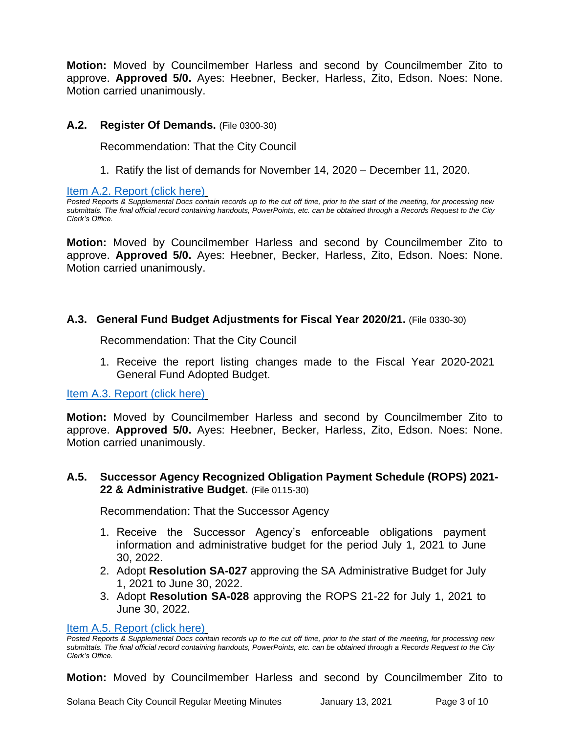**Motion:** Moved by Councilmember Harless and second by Councilmember Zito to approve. **Approved 5/0.** Ayes: Heebner, Becker, Harless, Zito, Edson. Noes: None. Motion carried unanimously.

## **A.2. Register Of Demands.** (File 0300-30)

Recommendation: That the City Council

1. Ratify the list of demands for November 14, 2020 – December 11, 2020.

[Item A.2. Report \(click here\)](https://solanabeach.govoffice3.com/vertical/Sites/%7B840804C2-F869-4904-9AE3-720581350CE7%7D/uploads/Item_A.2._Report_(click_here)_1-13-21_O.pdf)

*Posted Reports & Supplemental Docs contain records up to the cut off time, prior to the start of the meeting, for processing new submittals. The final official record containing handouts, PowerPoints, etc. can be obtained through a Records Request to the City Clerk's Office.*

**Motion:** Moved by Councilmember Harless and second by Councilmember Zito to approve. **Approved 5/0.** Ayes: Heebner, Becker, Harless, Zito, Edson. Noes: None. Motion carried unanimously.

#### **A.3. General Fund Budget Adjustments for Fiscal Year 2020/21.** (File 0330-30)

Recommendation: That the City Council

1. Receive the report listing changes made to the Fiscal Year 2020-2021 General Fund Adopted Budget.

[Item A.3. Report \(click here\)](https://solanabeach.govoffice3.com/vertical/Sites/%7B840804C2-F869-4904-9AE3-720581350CE7%7D/uploads/Item_A.3._Report_(click_here)_1-13-21_O.pdf)

**Motion:** Moved by Councilmember Harless and second by Councilmember Zito to approve. **Approved 5/0.** Ayes: Heebner, Becker, Harless, Zito, Edson. Noes: None. Motion carried unanimously.

#### **A.5. Successor Agency Recognized Obligation Payment Schedule (ROPS) 2021- 22 & Administrative Budget.** (File 0115-30)

Recommendation: That the Successor Agency

- 1. Receive the Successor Agency's enforceable obligations payment information and administrative budget for the period July 1, 2021 to June 30, 2022.
- 2. Adopt **Resolution SA-027** approving the SA Administrative Budget for July 1, 2021 to June 30, 2022.
- 3. Adopt **Resolution SA-028** approving the ROPS 21-22 for July 1, 2021 to June 30, 2022.

#### [Item A.5. Report \(click here\)](https://solanabeach.govoffice3.com/vertical/Sites/%7B840804C2-F869-4904-9AE3-720581350CE7%7D/uploads/Item_A.5._Report_(click_here)_1-13-21_O.pdf)

*Posted Reports & Supplemental Docs contain records up to the cut off time, prior to the start of the meeting, for processing new submittals. The final official record containing handouts, PowerPoints, etc. can be obtained through a Records Request to the City Clerk's Office.*

**Motion:** Moved by Councilmember Harless and second by Councilmember Zito to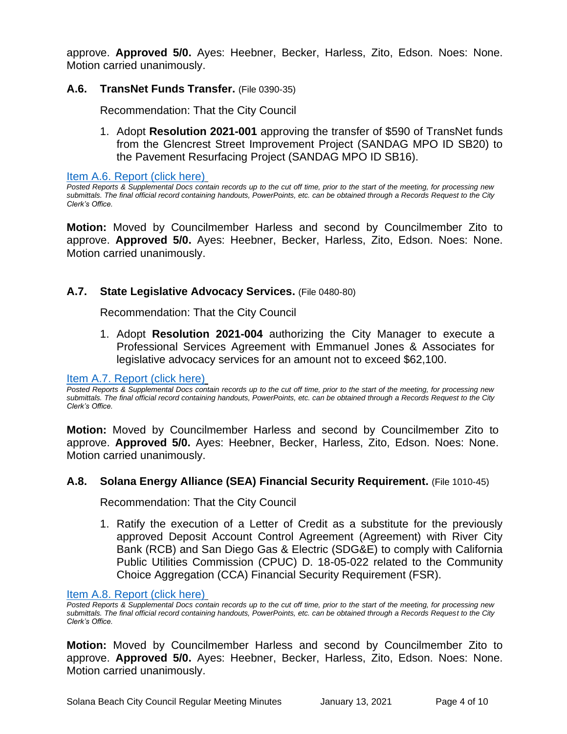approve. **Approved 5/0.** Ayes: Heebner, Becker, Harless, Zito, Edson. Noes: None. Motion carried unanimously.

# **A.6. TransNet Funds Transfer.** (File 0390-35)

Recommendation: That the City Council

1. Adopt **Resolution 2021-001** approving the transfer of \$590 of TransNet funds from the Glencrest Street Improvement Project (SANDAG MPO ID SB20) to the Pavement Resurfacing Project (SANDAG MPO ID SB16).

[Item A.6. Report \(click here\)](https://solanabeach.govoffice3.com/vertical/Sites/%7B840804C2-F869-4904-9AE3-720581350CE7%7D/uploads/Item_A.6._Report_(click_here)_1-13-21_O.pdf)

*Posted Reports & Supplemental Docs contain records up to the cut off time, prior to the start of the meeting, for processing new submittals. The final official record containing handouts, PowerPoints, etc. can be obtained through a Records Request to the City Clerk's Office.*

**Motion:** Moved by Councilmember Harless and second by Councilmember Zito to approve. **Approved 5/0.** Ayes: Heebner, Becker, Harless, Zito, Edson. Noes: None. Motion carried unanimously.

#### **A.7. State Legislative Advocacy Services.** (File 0480-80)

Recommendation: That the City Council

1. Adopt **Resolution 2021-004** authorizing the City Manager to execute a Professional Services Agreement with Emmanuel Jones & Associates for legislative advocacy services for an amount not to exceed \$62,100.

#### [Item A.7. Report \(click here\)](https://solanabeach.govoffice3.com/vertical/Sites/%7B840804C2-F869-4904-9AE3-720581350CE7%7D/uploads/Item_A.7._Report_(click_here)_1-13-21_O.pdf)

*Posted Reports & Supplemental Docs contain records up to the cut off time, prior to the start of the meeting, for processing new submittals. The final official record containing handouts, PowerPoints, etc. can be obtained through a Records Request to the City Clerk's Office.*

**Motion:** Moved by Councilmember Harless and second by Councilmember Zito to approve. **Approved 5/0.** Ayes: Heebner, Becker, Harless, Zito, Edson. Noes: None. Motion carried unanimously.

#### **A.8. Solana Energy Alliance (SEA) Financial Security Requirement.** (File 1010-45)

Recommendation: That the City Council

1. Ratify the execution of a Letter of Credit as a substitute for the previously approved Deposit Account Control Agreement (Agreement) with River City Bank (RCB) and San Diego Gas & Electric (SDG&E) to comply with California Public Utilities Commission (CPUC) D. 18-05-022 related to the Community Choice Aggregation (CCA) Financial Security Requirement (FSR).

#### [Item A.8. Report \(click here\)](https://solanabeach.govoffice3.com/vertical/Sites/%7B840804C2-F869-4904-9AE3-720581350CE7%7D/uploads/Item_A.8._Report_(click_here)_1-13-21_O.pdf)

*Posted Reports & Supplemental Docs contain records up to the cut off time, prior to the start of the meeting, for processing new submittals. The final official record containing handouts, PowerPoints, etc. can be obtained through a Records Request to the City Clerk's Office.*

**Motion:** Moved by Councilmember Harless and second by Councilmember Zito to approve. **Approved 5/0.** Ayes: Heebner, Becker, Harless, Zito, Edson. Noes: None. Motion carried unanimously.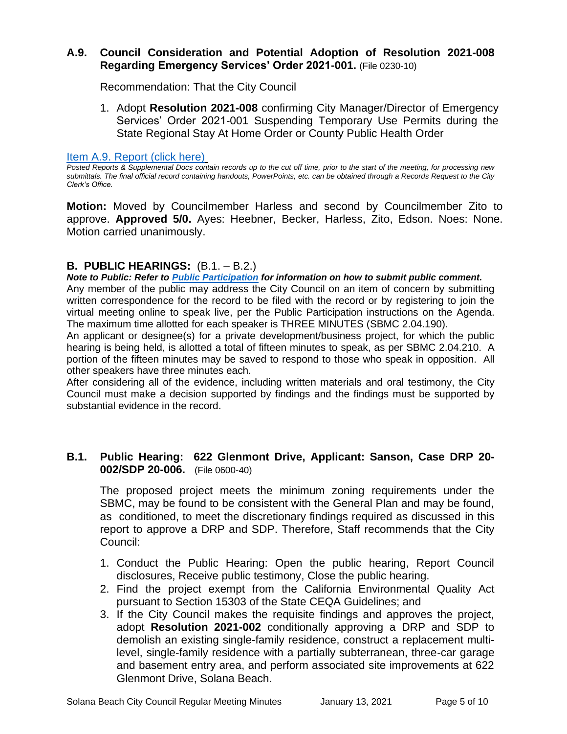## **A.9. Council Consideration and Potential Adoption of Resolution 2021-008 Regarding Emergency Services' Order 2021-001.** (File 0230-10)

Recommendation: That the City Council

1. Adopt **Resolution 2021-008** confirming City Manager/Director of Emergency Services' Order 2021-001 Suspending Temporary Use Permits during the State Regional Stay At Home Order or County Public Health Order

[Item A.9. Report \(click here\)](https://solanabeach.govoffice3.com/vertical/Sites/%7B840804C2-F869-4904-9AE3-720581350CE7%7D/uploads/Item_A.9._Report_(click_here)_1-13-21_O.pdf)

*Posted Reports & Supplemental Docs contain records up to the cut off time, prior to the start of the meeting, for processing new submittals. The final official record containing handouts, PowerPoints, etc. can be obtained through a Records Request to the City Clerk's Office.*

**Motion:** Moved by Councilmember Harless and second by Councilmember Zito to approve. **Approved 5/0.** Ayes: Heebner, Becker, Harless, Zito, Edson. Noes: None. Motion carried unanimously.

# **B. PUBLIC HEARINGS:** (B.1. – B.2.)

*Note to Public: Refer to Public Participation for information on how to submit public comment.*  Any member of the public may address the City Council on an item of concern by submitting written correspondence for the record to be filed with the record or by registering to join the virtual meeting online to speak live, per the Public Participation instructions on the Agenda. The maximum time allotted for each speaker is THREE MINUTES (SBMC 2.04.190).

An applicant or designee(s) for a private development/business project, for which the public hearing is being held, is allotted a total of fifteen minutes to speak, as per SBMC 2.04.210. A portion of the fifteen minutes may be saved to respond to those who speak in opposition. All other speakers have three minutes each.

After considering all of the evidence, including written materials and oral testimony, the City Council must make a decision supported by findings and the findings must be supported by substantial evidence in the record.

# **B.1. Public Hearing: 622 Glenmont Drive, Applicant: Sanson, Case DRP 20- 002/SDP 20-006.** (File 0600-40)

The proposed project meets the minimum zoning requirements under the SBMC, may be found to be consistent with the General Plan and may be found, as conditioned, to meet the discretionary findings required as discussed in this report to approve a DRP and SDP. Therefore, Staff recommends that the City Council:

- 1. Conduct the Public Hearing: Open the public hearing, Report Council disclosures, Receive public testimony, Close the public hearing.
- 2. Find the project exempt from the California Environmental Quality Act pursuant to Section 15303 of the State CEQA Guidelines; and
- 3. If the City Council makes the requisite findings and approves the project, adopt **Resolution 2021-002** conditionally approving a DRP and SDP to demolish an existing single-family residence, construct a replacement multilevel, single-family residence with a partially subterranean, three-car garage and basement entry area, and perform associated site improvements at 622 Glenmont Drive, Solana Beach.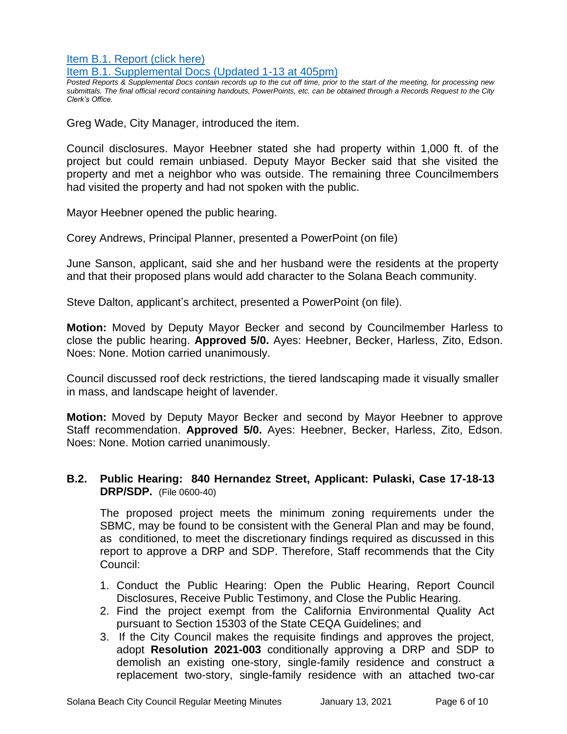[Item B.1. Report \(click here\)](https://solanabeach.govoffice3.com/vertical/Sites/%7B840804C2-F869-4904-9AE3-720581350CE7%7D/uploads/Item_B.1._Report_(click_here)_1-13-21_O.pdf) [Item B.1. Supplemental Docs \(Updated 1-13](https://solanabeach.govoffice3.com/vertical/Sites/%7B840804C2-F869-4904-9AE3-720581350CE7%7D/uploads/Item_B.1._Supplemental_Docs_(upd._1-13_at_405pm)_-_O.pdf) at 405pm)

*Posted Reports & Supplemental Docs contain records up to the cut off time, prior to the start of the meeting, for processing new submittals. The final official record containing handouts, PowerPoints, etc. can be obtained through a Records Request to the City Clerk's Office.*

Greg Wade, City Manager, introduced the item.

Council disclosures. Mayor Heebner stated she had property within 1,000 ft. of the project but could remain unbiased. Deputy Mayor Becker said that she visited the property and met a neighbor who was outside. The remaining three Councilmembers had visited the property and had not spoken with the public.

Mayor Heebner opened the public hearing.

Corey Andrews, Principal Planner, presented a PowerPoint (on file)

June Sanson, applicant, said she and her husband were the residents at the property and that their proposed plans would add character to the Solana Beach community.

Steve Dalton, applicant's architect, presented a PowerPoint (on file).

**Motion:** Moved by Deputy Mayor Becker and second by Councilmember Harless to close the public hearing. **Approved 5/0.** Ayes: Heebner, Becker, Harless, Zito, Edson. Noes: None. Motion carried unanimously.

Council discussed roof deck restrictions, the tiered landscaping made it visually smaller in mass, and landscape height of lavender.

**Motion:** Moved by Deputy Mayor Becker and second by Mayor Heebner to approve Staff recommendation. **Approved 5/0.** Ayes: Heebner, Becker, Harless, Zito, Edson. Noes: None. Motion carried unanimously.

# **B.2. Public Hearing: 840 Hernandez Street, Applicant: Pulaski, Case 17-18-13 DRP/SDP.** (File 0600-40)

The proposed project meets the minimum zoning requirements under the SBMC, may be found to be consistent with the General Plan and may be found, as conditioned, to meet the discretionary findings required as discussed in this report to approve a DRP and SDP. Therefore, Staff recommends that the City Council:

- 1. Conduct the Public Hearing: Open the Public Hearing, Report Council Disclosures, Receive Public Testimony, and Close the Public Hearing.
- 2. Find the project exempt from the California Environmental Quality Act pursuant to Section 15303 of the State CEQA Guidelines; and
- 3. If the City Council makes the requisite findings and approves the project, adopt **Resolution 2021-003** conditionally approving a DRP and SDP to demolish an existing one-story, single-family residence and construct a replacement two-story, single-family residence with an attached two-car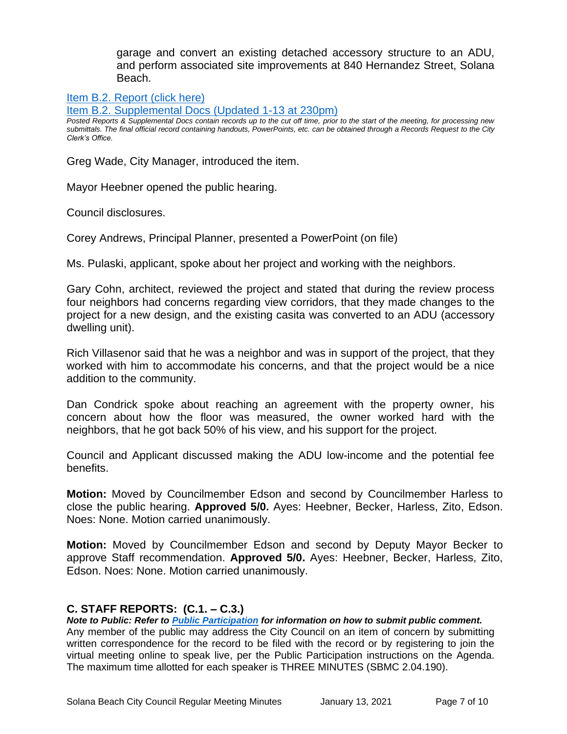garage and convert an existing detached accessory structure to an ADU, and perform associated site improvements at 840 Hernandez Street, Solana Beach.

[Item B.2. Report \(click here\)](https://solanabeach.govoffice3.com/vertical/Sites/%7B840804C2-F869-4904-9AE3-720581350CE7%7D/uploads/Item_B.2._Report_(click_here)_1-13-21_O.pdf)

[Item B.2. Supplemental Docs \(Updated](https://solanabeach.govoffice3.com/vertical/Sites/%7B840804C2-F869-4904-9AE3-720581350CE7%7D/uploads/Item_B.2._Supplemental_Docs_(upd._1-13_at_1230pm)_-_O.pdf) 1-13 at 230pm)

*Posted Reports & Supplemental Docs contain records up to the cut off time, prior to the start of the meeting, for processing new submittals. The final official record containing handouts, PowerPoints, etc. can be obtained through a Records Request to the City Clerk's Office.*

Greg Wade, City Manager, introduced the item.

Mayor Heebner opened the public hearing.

Council disclosures.

Corey Andrews, Principal Planner, presented a PowerPoint (on file)

Ms. Pulaski, applicant, spoke about her project and working with the neighbors.

Gary Cohn, architect, reviewed the project and stated that during the review process four neighbors had concerns regarding view corridors, that they made changes to the project for a new design, and the existing casita was converted to an ADU (accessory dwelling unit).

Rich Villasenor said that he was a neighbor and was in support of the project, that they worked with him to accommodate his concerns, and that the project would be a nice addition to the community.

Dan Condrick spoke about reaching an agreement with the property owner, his concern about how the floor was measured, the owner worked hard with the neighbors, that he got back 50% of his view, and his support for the project.

Council and Applicant discussed making the ADU low-income and the potential fee benefits.

**Motion:** Moved by Councilmember Edson and second by Councilmember Harless to close the public hearing. **Approved 5/0.** Ayes: Heebner, Becker, Harless, Zito, Edson. Noes: None. Motion carried unanimously.

**Motion:** Moved by Councilmember Edson and second by Deputy Mayor Becker to approve Staff recommendation. **Approved 5/0.** Ayes: Heebner, Becker, Harless, Zito, Edson. Noes: None. Motion carried unanimously.

# **C. STAFF REPORTS: (C.1. – C.3.)**

*Note to Public: Refer to Public Participation for information on how to submit public comment.*  Any member of the public may address the City Council on an item of concern by submitting written correspondence for the record to be filed with the record or by registering to join the virtual meeting online to speak live, per the Public Participation instructions on the Agenda. The maximum time allotted for each speaker is THREE MINUTES (SBMC 2.04.190).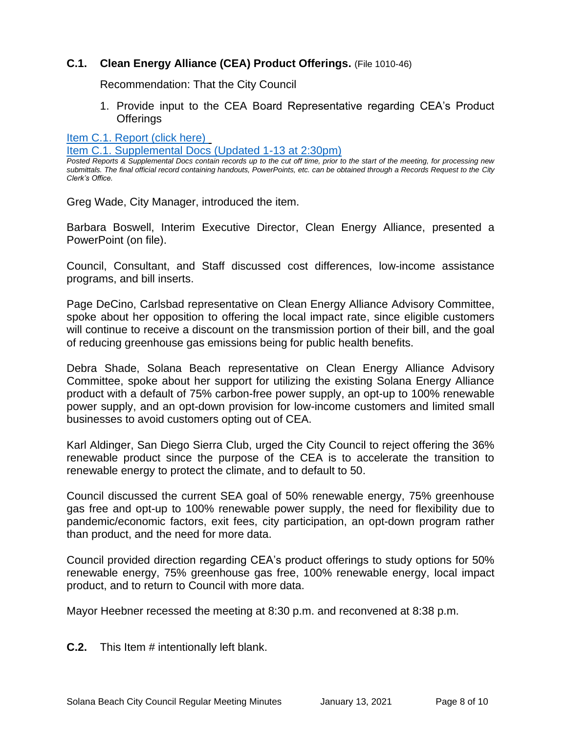# **C.1. Clean Energy Alliance (CEA) Product Offerings.** (File 1010-46)

Recommendation: That the City Council

1. Provide input to the CEA Board Representative regarding CEA's Product **Offerings** 

[Item C.1. Report](https://solanabeach.govoffice3.com/vertical/Sites/%7B840804C2-F869-4904-9AE3-720581350CE7%7D/uploads/Item_C.1._Report_(click_here)_1-13-21_O.pdf) (click here)

[Item C.1. Supplemental Docs \(Updated 1-13](https://solanabeach.govoffice3.com/vertical/Sites/%7B840804C2-F869-4904-9AE3-720581350CE7%7D/uploads/Item_C.1._Supplemental_Docs_(upd._1-13_215pm)_-_O.pdf) at 2:30pm)

*Posted Reports & Supplemental Docs contain records up to the cut off time, prior to the start of the meeting, for processing new submittals. The final official record containing handouts, PowerPoints, etc. can be obtained through a Records Request to the City Clerk's Office.*

Greg Wade, City Manager, introduced the item.

Barbara Boswell, Interim Executive Director, Clean Energy Alliance, presented a PowerPoint (on file).

Council, Consultant, and Staff discussed cost differences, low-income assistance programs, and bill inserts.

Page DeCino, Carlsbad representative on Clean Energy Alliance Advisory Committee, spoke about her opposition to offering the local impact rate, since eligible customers will continue to receive a discount on the transmission portion of their bill, and the goal of reducing greenhouse gas emissions being for public health benefits.

Debra Shade, Solana Beach representative on Clean Energy Alliance Advisory Committee, spoke about her support for utilizing the existing Solana Energy Alliance product with a default of 75% carbon-free power supply, an opt-up to 100% renewable power supply, and an opt-down provision for low-income customers and limited small businesses to avoid customers opting out of CEA.

Karl Aldinger, San Diego Sierra Club, urged the City Council to reject offering the 36% renewable product since the purpose of the CEA is to accelerate the transition to renewable energy to protect the climate, and to default to 50.

Council discussed the current SEA goal of 50% renewable energy, 75% greenhouse gas free and opt-up to 100% renewable power supply, the need for flexibility due to pandemic/economic factors, exit fees, city participation, an opt-down program rather than product, and the need for more data.

Council provided direction regarding CEA's product offerings to study options for 50% renewable energy, 75% greenhouse gas free, 100% renewable energy, local impact product, and to return to Council with more data.

Mayor Heebner recessed the meeting at 8:30 p.m. and reconvened at 8:38 p.m.

**C.2.** This Item # intentionally left blank.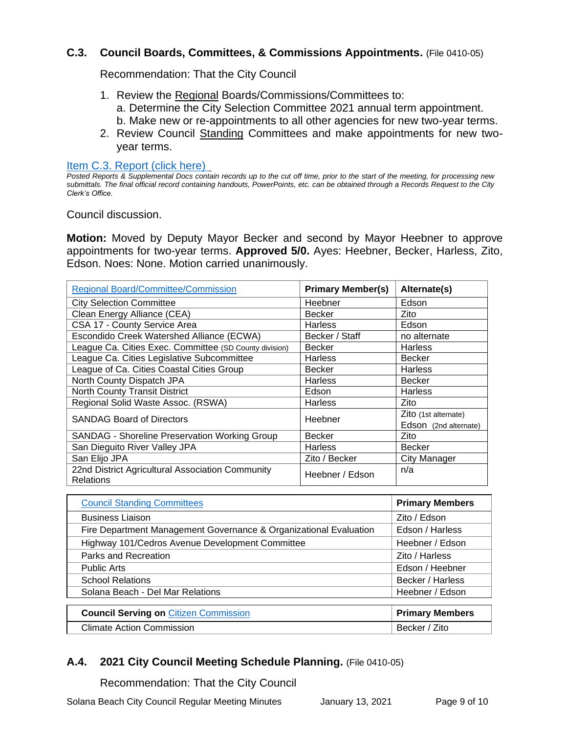# **C.3. Council Boards, Committees, & Commissions Appointments.** (File 0410-05)

Recommendation: That the City Council

- 1. Review the Regional Boards/Commissions/Committees to: a. Determine the City Selection Committee 2021 annual term appointment. b. Make new or re-appointments to all other agencies for new two-year terms.
- 2. Review Council Standing Committees and make appointments for new twoyear terms.

[Item C.3. Report \(click here\)](https://solanabeach.govoffice3.com/vertical/Sites/%7B840804C2-F869-4904-9AE3-720581350CE7%7D/uploads/Item_C.3._Report_(click_here)_1-13-21_O.pdf) 

*Posted Reports & Supplemental Docs contain records up to the cut off time, prior to the start of the meeting, for processing new submittals. The final official record containing handouts, PowerPoints, etc. can be obtained through a Records Request to the City Clerk's Office.*

Council discussion.

**Motion:** Moved by Deputy Mayor Becker and second by Mayor Heebner to approve appointments for two-year terms. **Approved 5/0.** Ayes: Heebner, Becker, Harless, Zito, Edson. Noes: None. Motion carried unanimously.

| <b>Regional Board/Committee/Commission</b>                           | <b>Primary Member(s)</b> | Alternate(s)          |
|----------------------------------------------------------------------|--------------------------|-----------------------|
| <b>City Selection Committee</b>                                      | Heebner                  | Edson                 |
| Clean Energy Alliance (CEA)                                          | <b>Becker</b>            | Zito                  |
| CSA 17 - County Service Area                                         | <b>Harless</b>           | Edson                 |
| Escondido Creek Watershed Alliance (ECWA)                            | Becker / Staff           | no alternate          |
| League Ca. Cities Exec. Committee (SD County division)               | <b>Becker</b>            | <b>Harless</b>        |
| League Ca. Cities Legislative Subcommittee                           | <b>Harless</b>           | <b>Becker</b>         |
| League of Ca. Cities Coastal Cities Group                            | <b>Becker</b>            | <b>Harless</b>        |
| North County Dispatch JPA                                            | Harless                  | Becker                |
| North County Transit District                                        | Edson                    | <b>Harless</b>        |
| Regional Solid Waste Assoc. (RSWA)                                   | Harless                  | Zito                  |
| <b>SANDAG Board of Directors</b>                                     | Heebner                  | Zito (1st alternate)  |
|                                                                      |                          | Edson (2nd alternate) |
| SANDAG - Shoreline Preservation Working Group                        | Becker                   | Zito                  |
| San Dieguito River Valley JPA                                        | <b>Harless</b>           | Becker                |
| San Elijo JPA                                                        | Zito / Becker            | City Manager          |
| 22nd District Agricultural Association Community<br><b>Relations</b> | Heebner / Edson          | n/a                   |

| <b>Council Standing Committees</b>                                | <b>Primary Members</b> |
|-------------------------------------------------------------------|------------------------|
| <b>Business Liaison</b>                                           | Zito / Edson           |
| Fire Department Management Governance & Organizational Evaluation | Edson / Harless        |
| Highway 101/Cedros Avenue Development Committee                   | Heebner / Edson        |
| Parks and Recreation                                              | Zito / Harless         |
| <b>Public Arts</b>                                                | Edson / Heebner        |
| <b>School Relations</b>                                           | Becker / Harless       |
| Solana Beach - Del Mar Relations                                  | Heebner / Edson        |
|                                                                   |                        |
| <b>Council Serving on Citizen Commission</b>                      | <b>Primary Members</b> |
| <b>Climate Action Commission</b>                                  | Becker / Zito          |

# **A.4. 2021 City Council Meeting Schedule Planning.** (File 0410-05)

Recommendation: That the City Council

Solana Beach City Council Regular Meeting Minutes January 13, 2021 Page 9 of 10